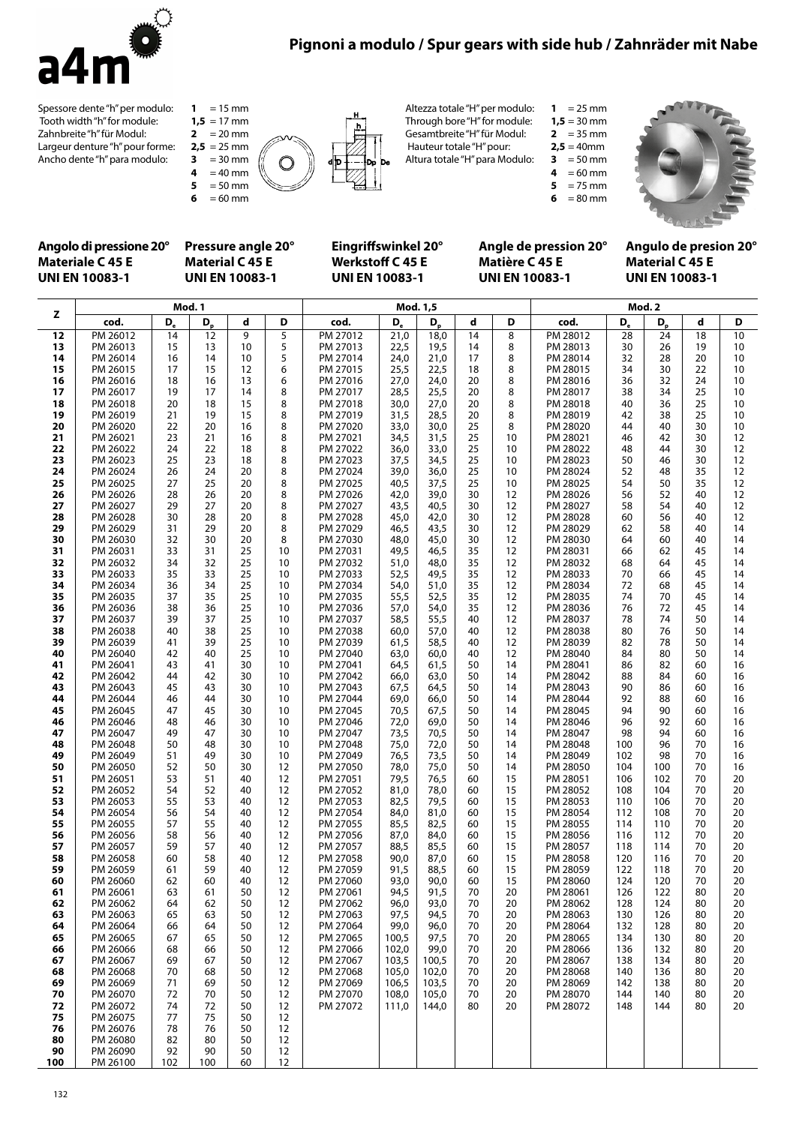

# **Pignoni a modulo / Spur gears with side hub / Zahnräder mit Nabe**

Spessore dente "h" per modulo: Tooth width "h" for module: Zahnbreite "h" für Modul: Largeur denture "h" pour forme: Ancho dente "h" para modulo:

 = 15 mm  $1,5 = 17$  mm = 20 mm  $2.5 = 25$  mm **3** = 30 mm<br>**4** = 40 mm **4** = 40 mm<br>**5** = 50 mm

**5** = 50 mm<br>**6** = 60 mm  $= 60$  mm



Altezza totale "H" per modulo: Through bore "H" for module:

Gesamtbreite "H" für Modul: Hauteur totale "H" pour:

Altura totale "H" para Modulo:  $2.5 = 40$  mm

**3** = 50 mm<br>**4** = 60 mm

**4** = 60 mm<br>**5** = 75 mm **5** = 75 mm<br>**6** = 80 mm = 80 mm

**1** =  $25 \text{ mm}$  $1,5 = 30$  mm **2** =  $35 \text{ mm}$ 



#### **Angolo di pressione 20° Materiale C 45 E UNI EN 10083-1**

### **Pressure angle 20° Material C 45 E UNI EN 10083-1**

#### **Eingriffswinkel 20° Werkstoff C 45 E UNI EN 10083-1**

#### **Angle de pression 20° Matière C 45 E UNI EN 10083-1**

**Angulo de presion 20° Material C 45 E UNI EN 10083-1**

|          |                      |          |          | Mod. 1,5 |          | Mod. 2               |              |              |          |          |                      |            |            |          |          |
|----------|----------------------|----------|----------|----------|----------|----------------------|--------------|--------------|----------|----------|----------------------|------------|------------|----------|----------|
| z        | cod.                 | D,       | $D_{p}$  | d        | D        | cod.                 | D,           | $D_{p}$      | d        | D        | cod.                 | $D_{e}$    | $D_{p}$    | d        | D        |
| 12       | PM 26012             | 14       | 12       | 9        | 5        | PM 27012             | 21,0         | 18,0         | 14       | 8        | PM 28012             | 28         | 24         | 18       | 10       |
| 13       | PM 26013             | 15       | 13       | 10       | 5        | PM 27013             | 22,5         | 19,5         | 14       | 8        | PM 28013             | 30         | 26         | 19       | 10       |
| 14       | PM 26014             | 16       | 14       | 10       | 5        | PM 27014             | 24,0         | 21,0         | 17       | 8        | PM 28014             | 32         | 28         | 20       | 10       |
| 15       | PM 26015             | 17       | 15       | 12       | 6        | PM 27015             | 25,5         | 22,5         | 18       | 8        | PM 28015             | 34         | 30         | 22       | 10       |
| 16       | PM 26016             | 18       | 16       | 13       | 6        | PM 27016             | 27,0         | 24,0         | 20       | 8        | PM 28016             | 36         | 32         | 24       | 10       |
| 17       | PM 26017             | 19       | 17       | 14       | 8        | PM 27017             | 28,5         | 25,5         | 20       | 8        | PM 28017             | 38         | 34         | 25       | 10       |
| 18       | PM 26018             | 20       | 18       | 15       | 8        | PM 27018             | 30,0         | 27,0         | 20       | 8        | PM 28018             | 40         | 36         | 25       | 10       |
| 19<br>20 | PM 26019<br>PM 26020 | 21<br>22 | 19<br>20 | 15<br>16 | 8<br>8   | PM 27019<br>PM 27020 | 31,5<br>33,0 | 28,5<br>30,0 | 20<br>25 | 8<br>8   | PM 28019<br>PM 28020 | 42<br>44   | 38<br>40   | 25<br>30 | 10<br>10 |
| 21       | PM 26021             | 23       | 21       | 16       | 8        | PM 27021             | 34,5         | 31,5         | 25       | 10       | PM 28021             | 46         | 42         | 30       | 12       |
| 22       | PM 26022             | 24       | 22       | 18       | 8        | PM 27022             | 36,0         | 33,0         | 25       | 10       | PM 28022             | 48         | 44         | 30       | 12       |
| 23       | PM 26023             | 25       | 23       | 18       | 8        | PM 27023             | 37,5         | 34,5         | 25       | 10       | PM 28023             | 50         | 46         | 30       | 12       |
| 24       | PM 26024             | 26       | 24       | 20       | 8        | PM 27024             | 39,0         | 36,0         | 25       | 10       | PM 28024             | 52         | 48         | 35       | 12       |
| 25       | PM 26025             | 27       | 25       | 20       | 8        | PM 27025             | 40,5         | 37,5         | 25       | 10       | PM 28025             | 54         | 50         | 35       | 12       |
| 26       | PM 26026             | 28       | 26       | 20       | 8        | PM 27026             | 42,0         | 39,0         | 30       | 12       | PM 28026             | 56         | 52         | 40       | 12       |
| 27       | PM 26027             | 29       | 27       | 20       | 8        | PM 27027             | 43,5         | 40,5         | 30       | 12       | PM 28027             | 58         | 54         | 40       | 12       |
| 28       | PM 26028             | 30       | 28       | 20       | 8        | PM 27028             | 45,0         | 42,0         | 30       | 12       | PM 28028             | 60         | 56         | 40       | 12       |
| 29       | PM 26029             | 31       | 29       | 20       | 8        | PM 27029             | 46,5         | 43,5         | 30       | 12       | PM 28029             | 62         | 58         | 40       | 14       |
| 30       | PM 26030             | 32       | 30       | 20       | 8        | PM 27030             | 48,0         | 45,0         | 30       | 12       | PM 28030             | 64         | 60         | 40       | 14       |
| 31       | PM 26031             | 33       | 31       | 25       | 10       | PM 27031             | 49,5         | 46,5         | 35       | 12       | PM 28031             | 66         | 62         | 45       | 14       |
| 32       | PM 26032             | 34       | 32       | 25       | 10       | PM 27032             | 51,0         | 48,0         | 35       | 12       | PM 28032             | 68         | 64         | 45       | 14       |
| 33       | PM 26033             | 35       | 33       | 25       | 10       | PM 27033             | 52,5         | 49,5         | 35       | 12       | PM 28033             | 70         | 66         | 45       | 14       |
| 34<br>35 | PM 26034<br>PM 26035 | 36<br>37 | 34<br>35 | 25<br>25 | 10<br>10 | PM 27034<br>PM 27035 | 54,0<br>55,5 | 51,0<br>52,5 | 35<br>35 | 12<br>12 | PM 28034<br>PM 28035 | 72<br>74   | 68<br>70   | 45<br>45 | 14<br>14 |
| 36       | PM 26036             | 38       | 36       | 25       | 10       | PM 27036             | 57,0         | 54,0         | 35       | 12       | PM 28036             | 76         | 72         | 45       | 14       |
| 37       | PM 26037             | 39       | 37       | 25       | 10       | PM 27037             | 58,5         | 55,5         | 40       | 12       | PM 28037             | 78         | 74         | 50       | 14       |
| 38       | PM 26038             | 40       | 38       | 25       | 10       | PM 27038             | 60,0         | 57,0         | 40       | 12       | PM 28038             | 80         | 76         | 50       | 14       |
| 39       | PM 26039             | 41       | 39       | 25       | 10       | PM 27039             | 61,5         | 58,5         | 40       | 12       | PM 28039             | 82         | 78         | 50       | 14       |
| 40       | PM 26040             | 42       | 40       | 25       | 10       | PM 27040             | 63,0         | 60,0         | 40       | 12       | PM 28040             | 84         | 80         | 50       | 14       |
| 41       | PM 26041             | 43       | 41       | 30       | 10       | PM 27041             | 64,5         | 61,5         | 50       | 14       | PM 28041             | 86         | 82         | 60       | 16       |
| 42       | PM 26042             | 44       | 42       | 30       | 10       | PM 27042             | 66,0         | 63,0         | 50       | 14       | PM 28042             | 88         | 84         | 60       | 16       |
| 43       | PM 26043             | 45       | 43       | 30       | 10       | PM 27043             | 67,5         | 64,5         | 50       | 14       | PM 28043             | 90         | 86         | 60       | 16       |
| 44       | PM 26044             | 46       | 44       | 30       | 10       | PM 27044             | 69,0         | 66,0         | 50       | 14       | PM 28044             | 92         | 88         | 60       | 16       |
| 45       | PM 26045             | 47       | 45       | 30       | 10       | PM 27045             | 70,5         | 67,5         | 50       | 14       | PM 28045             | 94         | 90         | 60       | 16       |
| 46       | PM 26046             | 48       | 46       | 30       | 10       | PM 27046             | 72,0         | 69,0         | 50       | 14       | PM 28046             | 96         | 92         | 60       | 16       |
| 47<br>48 | PM 26047<br>PM 26048 | 49<br>50 | 47<br>48 | 30<br>30 | 10<br>10 | PM 27047<br>PM 27048 | 73,5<br>75,0 | 70,5<br>72,0 | 50<br>50 | 14<br>14 | PM 28047<br>PM 28048 | 98<br>100  | 94<br>96   | 60<br>70 | 16<br>16 |
| 49       | PM 26049             | 51       | 49       | 30       | 10       | PM 27049             | 76,5         | 73,5         | 50       | 14       | PM 28049             | 102        | 98         | 70       | 16       |
| 50       | PM 26050             | 52       | 50       | 30       | 12       | PM 27050             | 78,0         | 75,0         | 50       | 14       | PM 28050             | 104        | 100        | 70       | 16       |
| 51       | PM 26051             | 53       | 51       | 40       | 12       | PM 27051             | 79,5         | 76,5         | 60       | 15       | PM 28051             | 106        | 102        | 70       | 20       |
| 52       | PM 26052             | 54       | 52       | 40       | 12       | PM 27052             | 81,0         | 78,0         | 60       | 15       | PM 28052             | 108        | 104        | 70       | 20       |
| 53       | PM 26053             | 55       | 53       | 40       | 12       | PM 27053             | 82,5         | 79,5         | 60       | 15       | PM 28053             | 110        | 106        | 70       | 20       |
| 54       | PM 26054             | 56       | 54       | 40       | 12       | PM 27054             | 84,0         | 81,0         | 60       | 15       | PM 28054             | 112        | 108        | 70       | 20       |
| 55       | PM 26055             | 57       | 55       | 40       | 12       | PM 27055             | 85,5         | 82,5         | 60       | 15       | PM 28055             | 114        | 110        | 70       | 20       |
| 56       | PM 26056             | 58       | 56       | 40       | 12       | PM 27056             | 87,0         | 84,0         | 60       | 15       | PM 28056             | 116        | 112        | 70       | 20       |
| 57       | PM 26057             | 59       | 57       | 40       | 12       | PM 27057             | 88,5         | 85,5         | 60       | 15       | PM 28057             | 118        | 114        | 70       | 20       |
| 58<br>59 | PM 26058<br>PM 26059 | 60<br>61 | 58<br>59 | 40<br>40 | 12<br>12 | PM 27058<br>PM 27059 | 90,0<br>91,5 | 87,0<br>88,5 | 60<br>60 | 15<br>15 | PM 28058<br>PM 28059 | 120<br>122 | 116<br>118 | 70<br>70 | 20<br>20 |
| 60       | PM 26060             | 62       | 60       | 40       | 12       | PM 27060             | 93,0         | 90,0         | 60       | 15       | PM 28060             | 124        | 120        | 70       | 20       |
| 61       | PM 26061             | 63       | 61       | 50       | 12       | PM 27061             | 94,5         | 91,5         | 70       | 20       | PM 28061             | 126        | 122        | 80       | 20       |
| 62       | PM 26062             | 64       | 62       | 50       | 12       | PM 27062             | 96,0         | 93,0         | 70       | 20       | PM 28062             | 128        | 124        | 80       | 20       |
| 63       | PM 26063             | 65       | 63       | 50       | 12       | PM 27063             | 97,5         | 94,5         | 70       | 20       | PM 28063             | 130        | 126        | 80       | 20       |
| 64       | PM 26064             | 66       | 64       | 50       | 12       | PM 27064             | 99,0         | 96,0         | 70       | 20       | PM 28064             | 132        | 128        | 80       | 20       |
| 65       | PM 26065             | 67       | 65       | 50       | 12       | PM 27065             | 100,5        | 97,5         | 70       | 20       | PM 28065             | 134        | 130        | 80       | 20       |
| 66       | PM 26066             | 68       | 66       | 50       | 12       | PM 27066             | 102,0        | 99,0         | 70       | 20       | PM 28066             | 136        | 132        | 80       | 20       |
| 67       | PM 26067             | 69       | 67       | 50       | 12       | PM 27067             | 103,5        | 100,5        | 70       | 20       | PM 28067             | 138        | 134        | 80       | 20       |
| 68       | PM 26068             | 70       | 68       | 50       | 12       | PM 27068             | 105,0        | 102,0        | 70       | 20       | PM 28068             | 140        | 136        | 80       | 20       |
| 69       | PM 26069             | 71       | 69       | 50       | 12       | PM 27069             | 106,5        | 103,5        | 70       | 20       | PM 28069             | 142        | 138        | 80       | 20       |
| 70       | PM 26070             | 72       | 70       | 50       | 12       | PM 27070             | 108,0        | 105,0        | 70       | 20       | PM 28070             | 144        | 140        | 80       | 20       |
| 72<br>75 | PM 26072<br>PM 26075 | 74<br>77 | 72<br>75 | 50<br>50 | 12<br>12 | PM 27072             | 111,0        | 144,0        | 80       | 20       | PM 28072             | 148        | 144        | 80       | 20       |
| 76       | PM 26076             | 78       | 76       | 50       | 12       |                      |              |              |          |          |                      |            |            |          |          |
| 80       | PM 26080             | 82       | 80       | 50       | 12       |                      |              |              |          |          |                      |            |            |          |          |
| 90       | PM 26090             | 92       | 90       | 50       | 12       |                      |              |              |          |          |                      |            |            |          |          |
| 100      | PM 26100             | 102      | 100      | 60       | 12       |                      |              |              |          |          |                      |            |            |          |          |
|          |                      |          |          |          |          |                      |              |              |          |          |                      |            |            |          |          |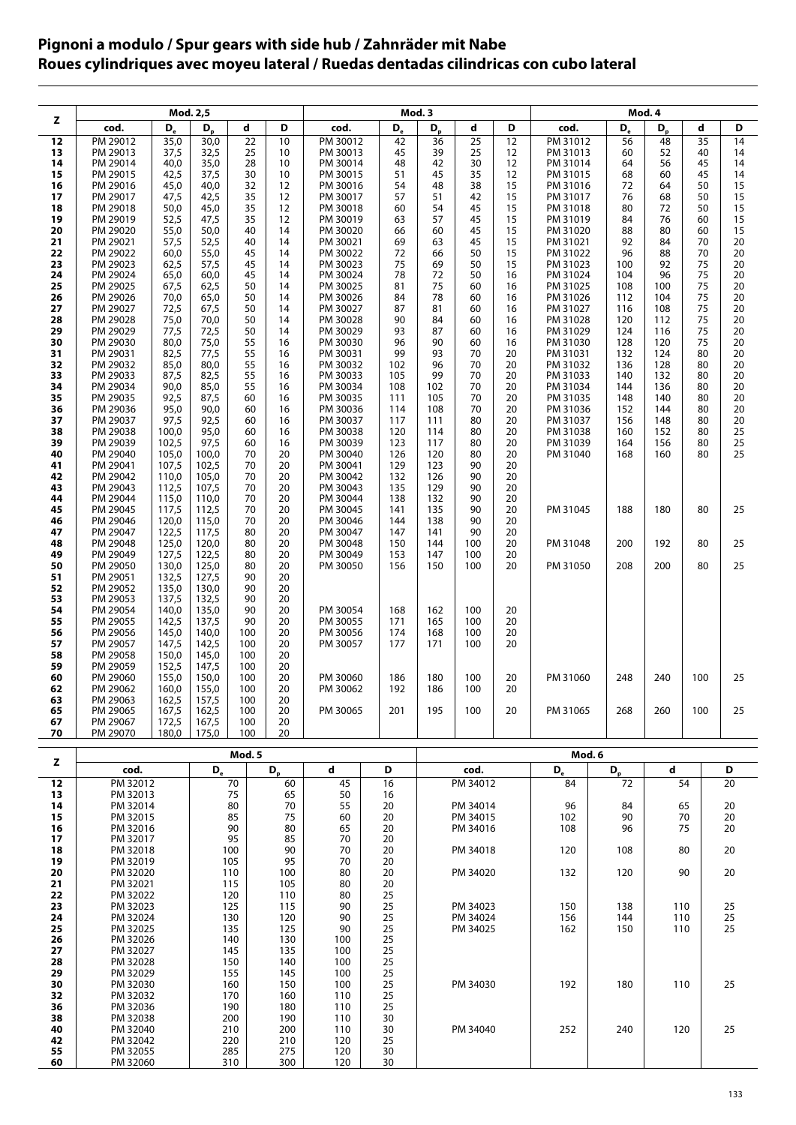## **Pignoni a modulo / Spur gears with side hub / Zahnräder mit Nabe Roues cylindriques avec moyeu lateral / Ruedas dentadas cilindricas con cubo lateral**

|          |                      |                | Mod. 2,5       |            |            |                      |            | Mod. 3     |                      | Mod. 4   |                      |            |            |          |          |  |  |  |
|----------|----------------------|----------------|----------------|------------|------------|----------------------|------------|------------|----------------------|----------|----------------------|------------|------------|----------|----------|--|--|--|
| z        | cod.                 | D,             | $D_{p}$        | d          | D          | cod.                 | D.         | $D_{p}$    | d                    | D        | cod.                 | D,         | $D_{p}$    | d        | D        |  |  |  |
| 12       | PM 29012             | 35,0           | 30,0           | 22         | 10         | PM 30012             | 42         | 36         | 25                   | 12       | PM 31012             | 56         | 48         | 35       | 14       |  |  |  |
| 13       | PM 29013             | 37,5           | 32,5           | 25         | 10         | PM 30013             | 45         | 39         | 25                   | 12       | PM 31013             | 60         | 52         | 40       | 14       |  |  |  |
| 14<br>15 | PM 29014<br>PM 29015 | 40,0<br>42,5   | 35,0<br>37,5   | 28<br>30   | 10<br>10   | PM 30014<br>PM 30015 | 48<br>51   | 42<br>45   | 30<br>35             | 12<br>12 | PM 31014<br>PM 31015 | 64<br>68   | 56<br>60   | 45<br>45 | 14<br>14 |  |  |  |
| 16       | PM 29016             | 45,0           | 40,0           | 32         | 12         | PM 30016             | 54         | 48         | 38                   | 15       | PM 31016             | 72         | 64         | 50       | 15       |  |  |  |
| 17       | PM 29017             | 47,5           | 42,5           | 35         | 12         | PM 30017             | 57         | 51         | 42                   | 15       | PM 31017             | 76         | 68         | 50       | 15       |  |  |  |
| 18       | PM 29018<br>PM 29019 | 50,0           | 45,0<br>47,5   | 35<br>35   | 12<br>12   | PM 30018             | 60<br>63   | 54<br>57   | 45<br>45             | 15<br>15 | PM 31018             | 80<br>84   | 72<br>76   | 50<br>60 | 15<br>15 |  |  |  |
| 19<br>20 | PM 29020             | 52,5<br>55,0   | 50,0           | 40         | 14         | PM 30019<br>PM 30020 | 66         | 60         | 45                   | 15       | PM 31019<br>PM 31020 | 88         | 80         | 60       | 15       |  |  |  |
| 21       | PM 29021             | 57,5           | 52,5           | 40         | 14         | PM 30021             | 69         | 63         | 45                   | 15       | PM 31021             | 92         | 84         | 70       | 20       |  |  |  |
| 22       | PM 29022             | 60,0           | 55,0           | 45         | 14         | PM 30022             | 72         | 66         | 50                   | 15       | PM 31022             | 96         | 88         | 70       | 20       |  |  |  |
| 23<br>24 | PM 29023<br>PM 29024 | 62,5<br>65,0   | 57,5<br>60,0   | 45<br>45   | 14<br>14   | PM 30023<br>PM 30024 | 75<br>78   | 69<br>72   | 50<br>50             | 15<br>16 | PM 31023<br>PM 31024 | 100<br>104 | 92<br>96   | 75<br>75 | 20<br>20 |  |  |  |
| 25       | PM 29025             | 67,5           | 62,5           | 50         | 14         | PM 30025             | 81         | 75         | 60                   | 16       | PM 31025             | 108        | 100        | 75       | 20       |  |  |  |
| 26       | PM 29026             | 70,0           | 65,0           | 50         | 14         | PM 30026             | 84         | 78         | 60                   | 16       | PM 31026             | 112        | 104        | 75       | 20       |  |  |  |
| 27       | PM 29027             | 72,5           | 67,5           | 50         | 14         | PM 30027             | 87         | 81         | 60                   | 16       | PM 31027             | 116        | 108        | 75       | 20       |  |  |  |
| 28<br>29 | PM 29028<br>PM 29029 | 75,0<br>77,5   | 70,0<br>72,5   | 50<br>50   | 14<br>14   | PM 30028<br>PM 30029 | 90<br>93   | 84<br>87   | 60<br>60             | 16<br>16 | PM 31028<br>PM 31029 | 120<br>124 | 112<br>116 | 75<br>75 | 20<br>20 |  |  |  |
| 30       | PM 29030             | 80,0           | 75,0           | 55         | 16         | PM 30030             | 96         | 90         | 60                   | 16       | PM 31030             | 128        | 120        | 75       | 20       |  |  |  |
| 31       | PM 29031             | 82,5           | 77,5           | 55         | 16         | PM 30031             | 99         | 93         | 70                   | 20       | PM 31031             | 132        | 124        | 80       | 20       |  |  |  |
| 32       | PM 29032             | 85,0           | 80,0           | 55         | 16         | PM 30032             | 102        | 96         | 70                   | 20       | PM 31032             | 136        | 128        | 80       | 20       |  |  |  |
| 33<br>34 | PM 29033<br>PM 29034 | 87,5<br>90,0   | 82,5<br>85,0   | 55<br>55   | 16<br>16   | PM 30033<br>PM 30034 | 105<br>108 | 99<br>102  | 70<br>70             | 20<br>20 | PM 31033<br>PM 31034 | 140<br>144 | 132<br>136 | 80<br>80 | 20<br>20 |  |  |  |
| 35       | PM 29035             | 92,5           | 87,5           | 60         | 16         | PM 30035             | 111        | 105        | 70                   | 20       | PM 31035             | 148        | 140        | 80       | 20       |  |  |  |
| 36       | PM 29036             | 95,0           | 90.0           | 60         | 16         | PM 30036             | 114        | 108        | 70                   | 20       | PM 31036             | 152        | 144        | 80       | 20       |  |  |  |
| 37<br>38 | PM 29037<br>PM 29038 | 97,5<br>100,0  | 92,5<br>95,0   | 60<br>60   | 16<br>16   | PM 30037<br>PM 30038 | 117<br>120 | 111<br>114 | 80<br>80             | 20<br>20 | PM 31037<br>PM 31038 | 156<br>160 | 148<br>152 | 80<br>80 | 20<br>25 |  |  |  |
| 39       | PM 29039             | 102,5          | 97.5           | 60         | 16         | PM 30039             | 123        | 117        | 80                   | 20       | PM 31039             | 164        | 156        | 80       | 25       |  |  |  |
| 40       | PM 29040             | 105,0          | 100,0          | 70         | 20         | PM 30040             | 126        | 120        | 80                   | 20       | PM 31040             | 168        | 160        | 80       | 25       |  |  |  |
| 41       | PM 29041<br>PM 29042 | 107,5          | 102,5<br>105,0 | 70<br>70   | 20<br>20   | PM 30041<br>PM 30042 | 129<br>132 | 123<br>126 | 90<br>90             | 20<br>20 |                      |            |            |          |          |  |  |  |
| 42<br>43 | PM 29043             | 110,0<br>112,5 | 107,5          | 70         | 20         | PM 30043             | 135        | 129        | 90                   | 20       |                      |            |            |          |          |  |  |  |
| 44       | PM 29044             | 115,0          | 110,0          | 70         | 20         | PM 30044             | 138        | 132        | 90                   | 20       |                      |            |            |          |          |  |  |  |
| 45       | PM 29045             | 117,5          | 112,5          | 70         | 20<br>20   | PM 30045             | 141        | 135        | 90<br>90             | 20       | PM 31045             | 188        | 180        | 80       | 25       |  |  |  |
| 46<br>47 | PM 29046<br>PM 29047 | 120,0<br>122,5 | 115,0<br>117,5 | 70<br>80   | 20         | PM 30046<br>PM 30047 | 144<br>147 | 138<br>141 | 90                   | 20<br>20 |                      |            |            |          |          |  |  |  |
| 48       | PM 29048             | 125,0          | 120,0          | 80         | 20         | PM 30048             | 150        | 144        | 100                  | 20       | PM 31048             | 200        | 192        | 80       | 25       |  |  |  |
| 49       | PM 29049             | 127,5          | 122,5          | 80         | 20         | PM 30049             | 153        | 147        | 100                  | 20       |                      |            |            |          |          |  |  |  |
| 50<br>51 | PM 29050<br>PM 29051 | 130,0<br>132,5 | 125,0<br>127,5 | 80<br>90   | 20<br>20   | PM 30050             | 156        | 150        | 100                  | 20       | PM 31050             | 208        | 200        | 80       | 25       |  |  |  |
| 52       | PM 29052             | 135,0          | 130,0          | 90         | 20         |                      |            |            |                      |          |                      |            |            |          |          |  |  |  |
| 53       | PM 29053             | 137,5          | 132,5          | 90         | 20         |                      |            |            |                      |          |                      |            |            |          |          |  |  |  |
| 54<br>55 | PM 29054<br>PM 29055 | 140,0<br>142,5 | 135,0<br>137,5 | 90<br>90   | 20<br>20   | PM 30054<br>PM 30055 | 168<br>171 | 162<br>165 | 100<br>100           | 20<br>20 |                      |            |            |          |          |  |  |  |
| 56       | PM 29056             | 145,0          | 140,0          | 100        | 20         | PM 30056             | 174        | 168        | 100                  | 20       |                      |            |            |          |          |  |  |  |
| 57       | PM 29057             | 147,5          | 142,5          | 100        | 20         | PM 30057             | 177        | 171        | 100                  | 20       |                      |            |            |          |          |  |  |  |
| 58<br>59 | PM 29058<br>PM 29059 | 150,0<br>152,5 | 145,0<br>147,5 | 100<br>100 | 20<br>20   |                      |            |            |                      |          |                      |            |            |          |          |  |  |  |
| 60       | PM 29060             | 155,0          | 150,0          | 100        | 20         | PM 30060             | 186        | 180        | 100                  | 20       | PM 31060             | 248        | 240        | 100      | 25       |  |  |  |
| 62       | PM 29062             | 160,0          | 155,0          | 100        | 20         | PM 30062             | 192        | 186        | 100                  | 20       |                      |            |            |          |          |  |  |  |
| 63<br>65 | PM 29063<br>PM 29065 | 162,5<br>167,5 | 157,5<br>162,5 | 100<br>100 | 20<br>20   | PM 30065             | 201        | 195        | 100                  | 20       | PM 31065             | 268        | 260        | 100      | 25       |  |  |  |
| 67       | PM 29067             | 172,5          | 167,5          | 100        | 20         |                      |            |            |                      |          |                      |            |            |          |          |  |  |  |
| 70       | PM 29070             | 180,0          | 175,0          | 100        | 20         |                      |            |            |                      |          |                      |            |            |          |          |  |  |  |
|          |                      |                |                | Mod. 5     |            |                      |            |            |                      |          |                      | Mod. 6     |            |          |          |  |  |  |
| z        | cod.                 |                | $D_{\rm e}$    |            | $D_{p}$    | d                    | D          |            | cod.                 |          | $D_{e}$              | $D_{p}$    | d          | D        |          |  |  |  |
| 12       | PM 32012             |                |                | 70         | 60         | 45                   | 16         |            | PM 34012             |          | 84                   | 72         | 54         |          | 20       |  |  |  |
| 13       | PM 32013             |                |                | 75         | 65         | 50                   | 16         |            |                      |          |                      |            |            |          |          |  |  |  |
| 14<br>15 | PM 32014<br>PM 32015 |                |                | 80<br>85   | 70<br>75   | 55<br>60             | 20<br>20   |            | PM 34014<br>PM 34015 |          | 96<br>102            | 84<br>90   | 65<br>70   |          | 20<br>20 |  |  |  |
| 16       | PM 32016             |                |                | 90         | 80         | 65                   | 20         |            | PM 34016             |          | 108                  | 96         | 75         |          | 20       |  |  |  |
| 17       | PM 32017             |                |                | 95         | 85         | 70                   | 20         |            |                      |          |                      |            |            |          |          |  |  |  |
| 18<br>19 | PM 32018<br>PM 32019 |                |                | 100<br>105 | 90<br>95   | 70<br>70             | 20<br>20   |            | PM 34018             |          | 120                  | 108        | 80         |          | 20       |  |  |  |
| 20       | PM 32020             |                |                | 110        | 100        | 80                   | 20         |            | PM 34020             |          | 132                  | 120        | 90         |          | 20       |  |  |  |
| 21       | PM 32021             |                |                | 115        | 105        | 80                   | 20         |            |                      |          |                      |            |            |          |          |  |  |  |
| 22<br>23 | PM 32022<br>PM 32023 |                |                | 120<br>125 | 110<br>115 | 80<br>90             | 25<br>25   |            | PM 34023             |          | 150                  | 138        | 110        |          | 25       |  |  |  |
| 24       | PM 32024             |                |                | 130        | 120        | 90                   | 25         |            | PM 34024             |          | 156                  | 144        | 110        |          | 25       |  |  |  |
| 25       | PM 32025             |                |                | 135        | 125        | 90                   | 25         |            | PM 34025             |          | 162                  | 150        | 110        |          | 25       |  |  |  |
| 26<br>27 | PM 32026<br>PM 32027 |                |                | 140<br>145 | 130<br>135 | 100<br>100           | 25<br>25   |            |                      |          |                      |            |            |          |          |  |  |  |
| 28       | PM 32028             |                |                | 150        | 140        | 100                  | 25         |            |                      |          |                      |            |            |          |          |  |  |  |
| 29       | PM 32029             |                |                | 155        | 145        | 100                  | 25         |            |                      |          |                      |            |            |          |          |  |  |  |
| 30<br>32 | PM 32030<br>PM 32032 |                |                | 160<br>170 | 150<br>160 | 100<br>110           | 25<br>25   |            | PM 34030             |          | 192                  | 180        | 110        |          | 25       |  |  |  |
| 36       | PM 32036             |                |                | 190        | 180        | 110                  | 25         |            |                      |          |                      |            |            |          |          |  |  |  |
| 38       | PM 32038             |                |                | 200        | 190        | 110                  | 30         |            |                      |          |                      |            |            |          |          |  |  |  |
| 40<br>42 | PM 32040<br>PM 32042 |                |                | 210<br>220 | 200<br>210 | 110<br>120           | 30<br>25   |            | PM 34040             |          | 252                  | 240        | 120        |          | 25       |  |  |  |
| 55       | PM 32055             |                |                | 285        | 275        | 120                  | 30         |            |                      |          |                      |            |            |          |          |  |  |  |
| 60       | 310<br>PM 32060      |                | 300            | 120        | 30         |                      |            |            |                      |          |                      |            |            |          |          |  |  |  |